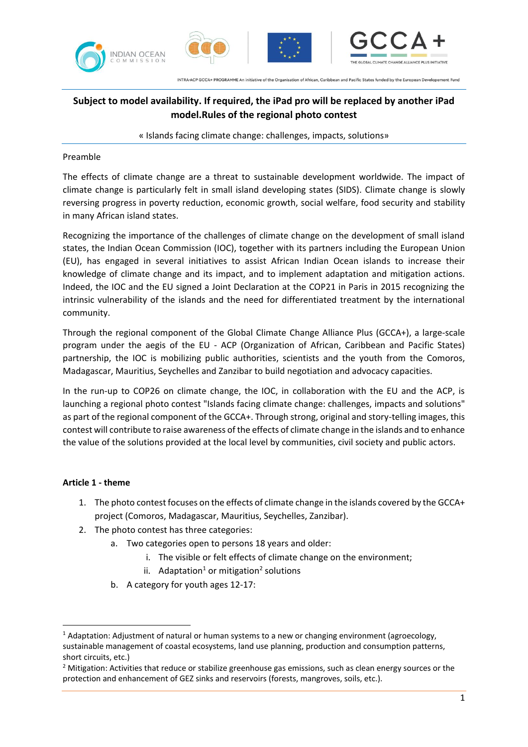







# **Subject to model availability. If required, the iPad pro will be replaced by another iPad model.Rules of the regional photo contest**

#### « Islands facing climate change: challenges, impacts, solutions»

# Preamble

The effects of climate change are a threat to sustainable development worldwide. The impact of climate change is particularly felt in small island developing states (SIDS). Climate change is slowly reversing progress in poverty reduction, economic growth, social welfare, food security and stability in many African island states.

Recognizing the importance of the challenges of climate change on the development of small island states, the Indian Ocean Commission (IOC), together with its partners including the European Union (EU), has engaged in several initiatives to assist African Indian Ocean islands to increase their knowledge of climate change and its impact, and to implement adaptation and mitigation actions. Indeed, the IOC and the EU signed a Joint Declaration at the COP21 in Paris in 2015 recognizing the intrinsic vulnerability of the islands and the need for differentiated treatment by the international community.

Through the regional component of the Global Climate Change Alliance Plus (GCCA+), a large-scale program under the aegis of the EU - ACP (Organization of African, Caribbean and Pacific States) partnership, the IOC is mobilizing public authorities, scientists and the youth from the Comoros, Madagascar, Mauritius, Seychelles and Zanzibar to build negotiation and advocacy capacities.

In the run-up to COP26 on climate change, the IOC, in collaboration with the EU and the ACP, is launching a regional photo contest "Islands facing climate change: challenges, impacts and solutions" as part of the regional component of the GCCA+. Through strong, original and story-telling images, this contest will contribute to raise awareness of the effects of climate change in the islands and to enhance the value of the solutions provided at the local level by communities, civil society and public actors.

## **Article 1 - theme**

- 1. The photo contest focuses on the effects of climate change in the islands covered by the GCCA+ project (Comoros, Madagascar, Mauritius, Seychelles, Zanzibar).
- 2. The photo contest has three categories:
	- a. Two categories open to persons 18 years and older:
		- i. The visible or felt effects of climate change on the environment;
		- ii. Adaptation<sup>1</sup> or mitigation<sup>2</sup> solutions
	- b. A category for youth ages 12-17:

<sup>&</sup>lt;sup>1</sup> Adaptation: Adjustment of natural or human systems to a new or changing environment (agroecology, sustainable management of coastal ecosystems, land use planning, production and consumption patterns, short circuits, etc.)

<sup>&</sup>lt;sup>2</sup> Mitigation: Activities that reduce or stabilize greenhouse gas emissions, such as clean energy sources or the protection and enhancement of GEZ sinks and reservoirs (forests, mangroves, soils, etc.).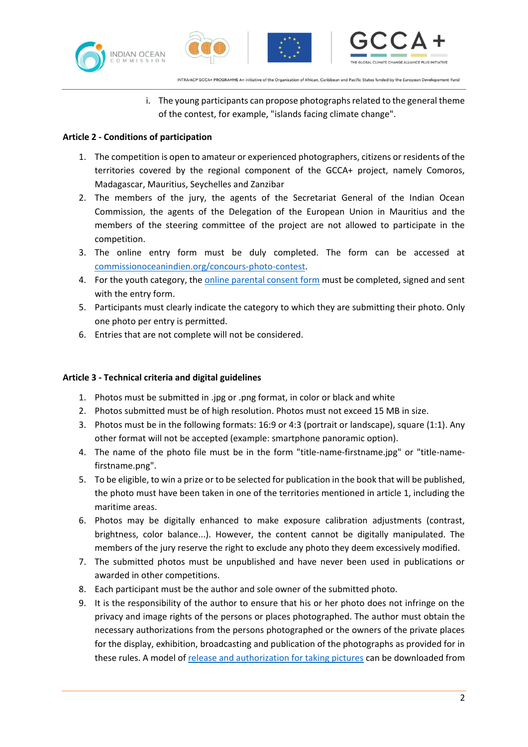







i. The young participants can propose photographs related to the general theme of the contest, for example, "islands facing climate change".

#### **Article 2 - Conditions of participation**

- 1. The competition is open to amateur or experienced photographers, citizens or residents of the territories covered by the regional component of the GCCA+ project, namely Comoros, Madagascar, Mauritius, Seychelles and Zanzibar
- 2. The members of the jury, the agents of the Secretariat General of the Indian Ocean Commission, the agents of the Delegation of the European Union in Mauritius and the members of the steering committee of the project are not allowed to participate in the competition.
- 3. The online entry form must be duly completed. The form can be accessed at [commissionoceanindien.org/concours-photo-contest.](http://www.commissionoceanindien.org/concours-photo-contest)
- 4. For the youth category, the [online parental consent form](https://www.commissionoceanindien.org/wp-content/uploads/2021/08/regional-climate-photo-contest-IOC-GCCA-parental-consent.pdf) must be completed, signed and sent with the entry form.
- 5. Participants must clearly indicate the category to which they are submitting their photo. Only one photo per entry is permitted.
- 6. Entries that are not complete will not be considered.

## **Article 3 - Technical criteria and digital guidelines**

- 1. Photos must be submitted in .jpg or .png format, in color or black and white
- 2. Photos submitted must be of high resolution. Photos must not exceed 15 MB in size.
- 3. Photos must be in the following formats: 16:9 or 4:3 (portrait or landscape), square (1:1). Any other format will not be accepted (example: smartphone panoramic option).
- 4. The name of the photo file must be in the form "title-name-firstname.jpg" or "title-namefirstname.png".
- 5. To be eligible, to win a prize or to be selected for publication in the book that will be published, the photo must have been taken in one of the territories mentioned in article 1, including the maritime areas.
- 6. Photos may be digitally enhanced to make exposure calibration adjustments (contrast, brightness, color balance...). However, the content cannot be digitally manipulated. The members of the jury reserve the right to exclude any photo they deem excessively modified.
- 7. The submitted photos must be unpublished and have never been used in publications or awarded in other competitions.
- 8. Each participant must be the author and sole owner of the submitted photo.
- 9. It is the responsibility of the author to ensure that his or her photo does not infringe on the privacy and image rights of the persons or places photographed. The author must obtain the necessary authorizations from the persons photographed or the owners of the private places for the display, exhibition, broadcasting and publication of the photographs as provided for in these rules. A model of [release and authorization for taking pictures](https://www.commissionoceanindien.org/wp-content/uploads/2021/06/regional-climate-photo-contest-IOC-GCCA-photo-taking-authorisation.pdf) can be downloaded from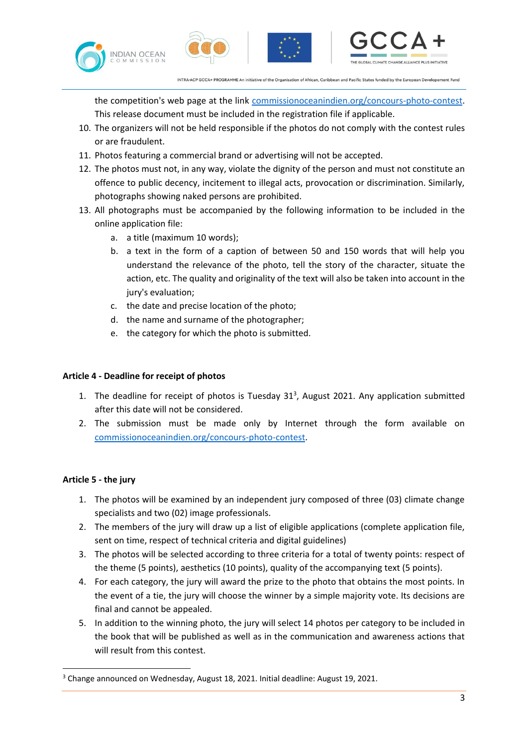







the competition's web page at the link [commissionoceanindien.org/concours-photo-contest.](http://www.commissionoceanindien.org/concours-photo-contest) This release document must be included in the registration file if applicable.

- 10. The organizers will not be held responsible if the photos do not comply with the contest rules or are fraudulent.
- 11. Photos featuring a commercial brand or advertising will not be accepted.
- 12. The photos must not, in any way, violate the dignity of the person and must not constitute an offence to public decency, incitement to illegal acts, provocation or discrimination. Similarly, photographs showing naked persons are prohibited.
- 13. All photographs must be accompanied by the following information to be included in the online application file:
	- a. a title (maximum 10 words);
	- b. a text in the form of a caption of between 50 and 150 words that will help you understand the relevance of the photo, tell the story of the character, situate the action, etc. The quality and originality of the text will also be taken into account in the jury's evaluation;
	- c. the date and precise location of the photo;
	- d. the name and surname of the photographer;
	- e. the category for which the photo is submitted.

## **Article 4 - Deadline for receipt of photos**

- 1. The deadline for receipt of photos is Tuesday  $31<sup>3</sup>$ , August 2021. Any application submitted after this date will not be considered.
- 2. The submission must be made only by Internet through the form available on [commissionoceanindien.org/concours-photo-contest.](http://www.commissionoceanindien.org/concours-photo-contest)

## **Article 5 - the jury**

- 1. The photos will be examined by an independent jury composed of three (03) climate change specialists and two (02) image professionals.
- 2. The members of the jury will draw up a list of eligible applications (complete application file, sent on time, respect of technical criteria and digital guidelines)
- 3. The photos will be selected according to three criteria for a total of twenty points: respect of the theme (5 points), aesthetics (10 points), quality of the accompanying text (5 points).
- 4. For each category, the jury will award the prize to the photo that obtains the most points. In the event of a tie, the jury will choose the winner by a simple majority vote. Its decisions are final and cannot be appealed.
- 5. In addition to the winning photo, the jury will select 14 photos per category to be included in the book that will be published as well as in the communication and awareness actions that will result from this contest.

<sup>&</sup>lt;sup>3</sup> Change announced on Wednesday, August 18, 2021. Initial deadline: August 19, 2021.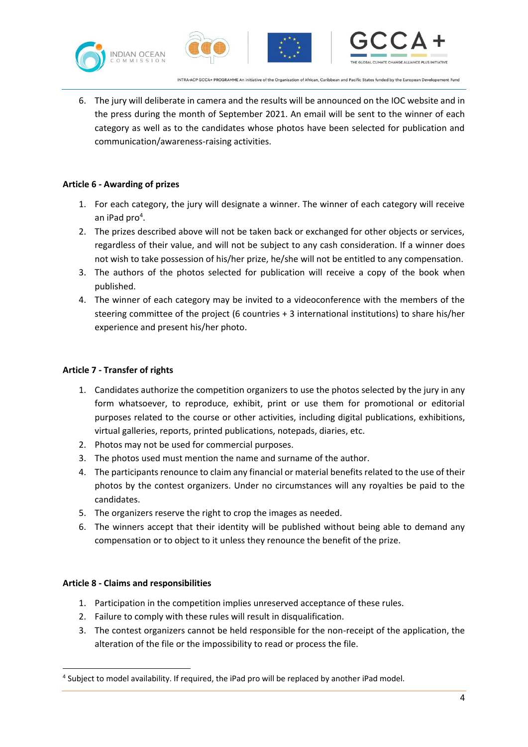







6. The jury will deliberate in camera and the results will be announced on the IOC website and in the press during the month of September 2021. An email will be sent to the winner of each category as well as to the candidates whose photos have been selected for publication and communication/awareness-raising activities.

## **Article 6 - Awarding of prizes**

- 1. For each category, the jury will designate a winner. The winner of each category will receive an iPad pro<sup>4</sup>.
- 2. The prizes described above will not be taken back or exchanged for other objects or services, regardless of their value, and will not be subject to any cash consideration. If a winner does not wish to take possession of his/her prize, he/she will not be entitled to any compensation.
- 3. The authors of the photos selected for publication will receive a copy of the book when published.
- 4. The winner of each category may be invited to a videoconference with the members of the steering committee of the project (6 countries + 3 international institutions) to share his/her experience and present his/her photo.

#### **Article 7 - Transfer of rights**

- 1. Candidates authorize the competition organizers to use the photos selected by the jury in any form whatsoever, to reproduce, exhibit, print or use them for promotional or editorial purposes related to the course or other activities, including digital publications, exhibitions, virtual galleries, reports, printed publications, notepads, diaries, etc.
- 2. Photos may not be used for commercial purposes.
- 3. The photos used must mention the name and surname of the author.
- 4. The participants renounce to claim any financial or material benefits related to the use of their photos by the contest organizers. Under no circumstances will any royalties be paid to the candidates.
- 5. The organizers reserve the right to crop the images as needed.
- 6. The winners accept that their identity will be published without being able to demand any compensation or to object to it unless they renounce the benefit of the prize.

## **Article 8 - Claims and responsibilities**

- 1. Participation in the competition implies unreserved acceptance of these rules.
- 2. Failure to comply with these rules will result in disqualification.
- 3. The contest organizers cannot be held responsible for the non-receipt of the application, the alteration of the file or the impossibility to read or process the file.

<sup>&</sup>lt;sup>4</sup> Subject to model availability. If required, the iPad pro will be replaced by another iPad model.